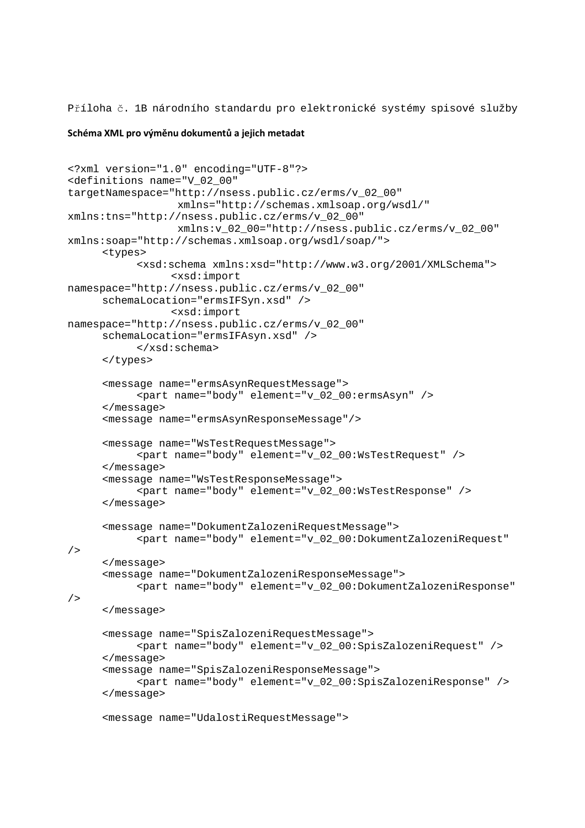Příloha č. 1B národního standardu pro elektronické systémy spisové služby

## **Schéma XML pro výměnu dokumentů a jejich metadat**

```
<?xml version="1.0" encoding="UTF-8"?> 
<definitions name="V_02_00" 
targetNamespace="http://nsess.public.cz/erms/v_02_00" 
                   xmlns="http://schemas.xmlsoap.org/wsdl/" 
xmlns:tns="http://nsess.public.cz/erms/v_02_00" 
                   xmlns:v_02_00="http://nsess.public.cz/erms/v_02_00" 
xmlns:soap="http://schemas.xmlsoap.org/wsdl/soap/">
       <types> 
            <xsd:schema xmlns:xsd="http://www.w3.org/2001/XMLSchema"> 
                  <xsd:import 
namespace="http://nsess.public.cz/erms/v_02_00"
       schemaLocation="ermsIFSyn.xsd" /> 
                  <xsd:import 
namespace="http://nsess.public.cz/erms/v_02_00"
       schemaLocation="ermsIFAsyn.xsd" /> 
            </xsd:schema> 
       </types> 
       <message name="ermsAsynRequestMessage"> 
            <part name="body" element="v_02_00:ermsAsyn" /> 
       </message> 
       <message name="ermsAsynResponseMessage"/> 
       <message name="WsTestRequestMessage"> 
            <part name="body" element="v_02_00:WsTestRequest" /> 
       </message> 
       <message name="WsTestResponseMessage"> 
             <part name="body" element="v_02_00:WsTestResponse" /> 
       </message> 
       <message name="DokumentZalozeniRequestMessage"> 
            <part name="body" element="v_02_00:DokumentZalozeniRequest" 
/> 
       </message> 
       <message name="DokumentZalozeniResponseMessage"> 
            <part name="body" element="v_02_00:DokumentZalozeniResponse" 
/> 
       </message> 
       <message name="SpisZalozeniRequestMessage"> 
            <part name="body" element="v_02_00:SpisZalozeniRequest" /> 
       </message> 
       <message name="SpisZalozeniResponseMessage"> 
            <part name="body" element="v_02_00:SpisZalozeniResponse" /> 
       </message> 
       <message name="UdalostiRequestMessage">
```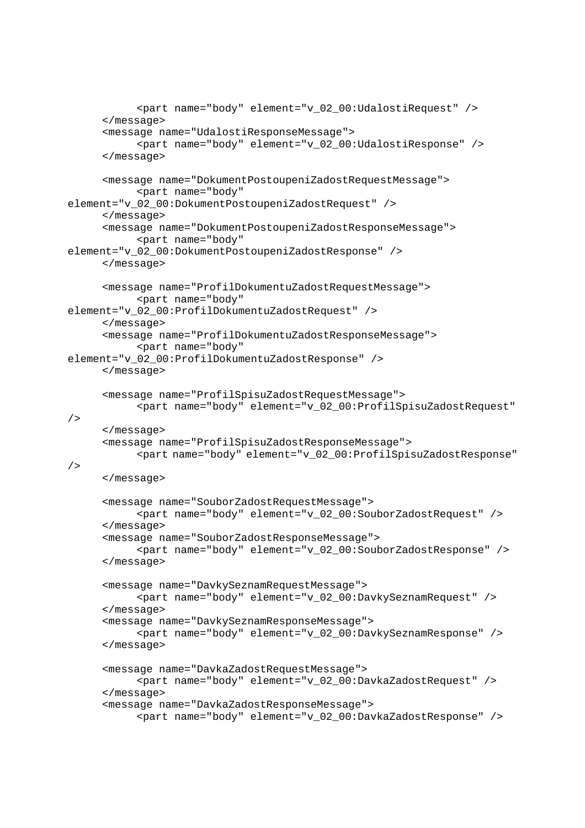```
 <part name="body" element="v_02_00:UdalostiRequest" /> 
       </message> 
       <message name="UdalostiResponseMessage"> 
            <part name="body" element="v_02_00:UdalostiResponse" /> 
       </message> 
       <message name="DokumentPostoupeniZadostRequestMessage"> 
             <part name="body" 
element="v_02_00:DokumentPostoupeniZadostRequest" /> 
       </message> 
       <message name="DokumentPostoupeniZadostResponseMessage"> 
            <part name="body" 
element="v_02_00:DokumentPostoupeniZadostResponse" /> 
       </message> 
       <message name="ProfilDokumentuZadostRequestMessage"> 
            <part name="body" 
element="v_02_00:ProfilDokumentuZadostRequest" /> 
       </message> 
       <message name="ProfilDokumentuZadostResponseMessage"> 
            <part name="body" 
element="v_02_00:ProfilDokumentuZadostResponse" /> 
       </message> 
       <message name="ProfilSpisuZadostRequestMessage"> 
            <part name="body" element="v_02_00:ProfilSpisuZadostRequest" 
/ </message> 
       <message name="ProfilSpisuZadostResponseMessage"> 
            <part name="body" element="v_02_00:ProfilSpisuZadostResponse" 
/> 
       </message> 
       <message name="SouborZadostRequestMessage"> 
            <part name="body" element="v_02_00:SouborZadostRequest" /> 
       </message> 
       <message name="SouborZadostResponseMessage"> 
            <part name="body" element="v_02_00:SouborZadostResponse" /> 
       </message> 
       <message name="DavkySeznamRequestMessage"> 
            <part name="body" element="v_02_00:DavkySeznamRequest" /> 
       </message> 
       <message name="DavkySeznamResponseMessage"> 
             <part name="body" element="v_02_00:DavkySeznamResponse" /> 
       </message> 
       <message name="DavkaZadostRequestMessage"> 
            <part name="body" element="v_02_00:DavkaZadostRequest" /> 
       </message> 
       <message name="DavkaZadostResponseMessage"> 
             <part name="body" element="v_02_00:DavkaZadostResponse" />
```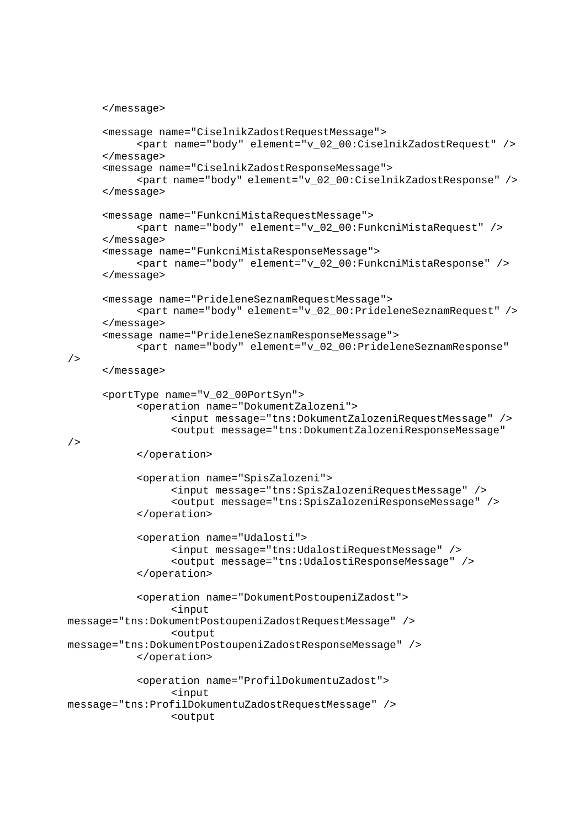```
 </message> 
       <message name="CiselnikZadostRequestMessage"> 
            <part name="body" element="v_02_00:CiselnikZadostRequest" /> 
       </message> 
       <message name="CiselnikZadostResponseMessage"> 
             <part name="body" element="v_02_00:CiselnikZadostResponse" /> 
       </message> 
       <message name="FunkcniMistaRequestMessage"> 
            <part name="body" element="v_02_00:FunkcniMistaRequest" /> 
       </message> 
       <message name="FunkcniMistaResponseMessage"> 
             <part name="body" element="v_02_00:FunkcniMistaResponse" /> 
       </message> 
       <message name="PrideleneSeznamRequestMessage"> 
            <part name="body" element="v_02_00:PrideleneSeznamRequest" /> 
       </message> 
       <message name="PrideleneSeznamResponseMessage"> 
            <part name="body" element="v_02_00:PrideleneSeznamResponse" 
       </message> 
       <portType name="V_02_00PortSyn"> 
            <operation name="DokumentZalozeni"> 
                  <input message="tns:DokumentZalozeniRequestMessage" /> 
                  <output message="tns:DokumentZalozeniResponseMessage" 
            </operation> 
            <operation name="SpisZalozeni"> 
                  <input message="tns:SpisZalozeniRequestMessage" /> 
                  <output message="tns:SpisZalozeniResponseMessage" /> 
            </operation> 
            <operation name="Udalosti"> 
                  <input message="tns:UdalostiRequestMessage" /> 
                  <output message="tns:UdalostiResponseMessage" />
            </operation> 
            <operation name="DokumentPostoupeniZadost"> 
                  <input 
message="tns:DokumentPostoupeniZadostRequestMessage" /> 
                  <output 
message="tns:DokumentPostoupeniZadostResponseMessage" /> 
            </operation> 
            <operation name="ProfilDokumentuZadost"> 
                  <input 
message="tns:ProfilDokumentuZadostRequestMessage" /> 
                  <output
```

```
/>
```
/>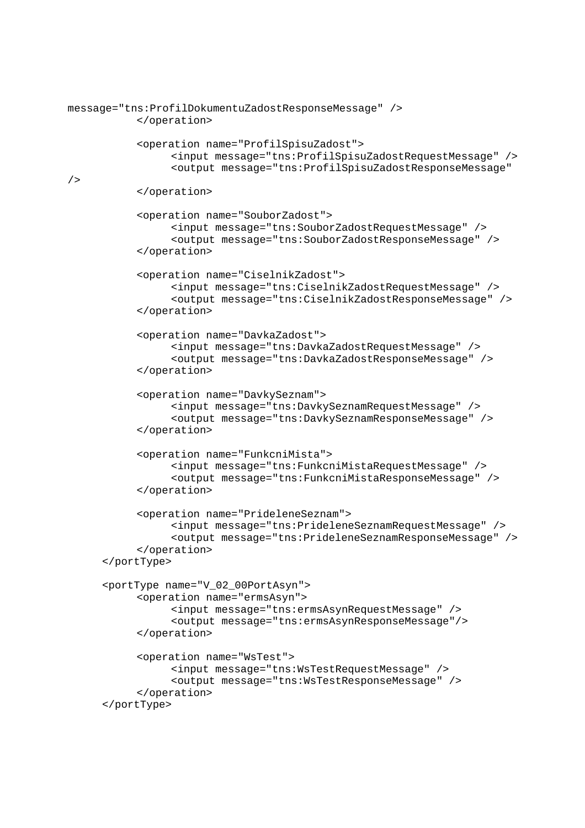```
message="tns:ProfilDokumentuZadostResponseMessage" /> 
            </operation> 
            <operation name="ProfilSpisuZadost"> 
                  <input message="tns:ProfilSpisuZadostRequestMessage" /> 
                  <output message="tns:ProfilSpisuZadostResponseMessage" 
/> 
            </operation> 
            <operation name="SouborZadost"> 
                  <input message="tns:SouborZadostRequestMessage" /> 
                  <output message="tns:SouborZadostResponseMessage" /> 
            </operation> 
             <operation name="CiselnikZadost"> 
                  <input message="tns:CiselnikZadostRequestMessage" /> 
                  <output message="tns:CiselnikZadostResponseMessage" /> 
            </operation> 
            <operation name="DavkaZadost"> 
                  <input message="tns:DavkaZadostRequestMessage" /> 
                  <output message="tns:DavkaZadostResponseMessage" /> 
            </operation> 
            <operation name="DavkySeznam"> 
                  <input message="tns:DavkySeznamRequestMessage" /> 
                  <output message="tns:DavkySeznamResponseMessage" /> 
             </operation> 
            <operation name="FunkcniMista"> 
                  <input message="tns:FunkcniMistaRequestMessage" /> 
                  <output message="tns:FunkcniMistaResponseMessage" /> 
            </operation> 
            <operation name="PrideleneSeznam"> 
                  <input message="tns:PrideleneSeznamRequestMessage" /> 
                  <output message="tns:PrideleneSeznamResponseMessage" /> 
            </operation> 
       </portType> 
       <portType name="V_02_00PortAsyn"> 
            <operation name="ermsAsyn"> 
                  <input message="tns:ermsAsynRequestMessage" /> 
                  <output message="tns:ermsAsynResponseMessage"/> 
            </operation> 
            <operation name="WsTest"> 
                  <input message="tns:WsTestRequestMessage" /> 
                  <output message="tns:WsTestResponseMessage" /> 
            </operation> 
       </portType>
```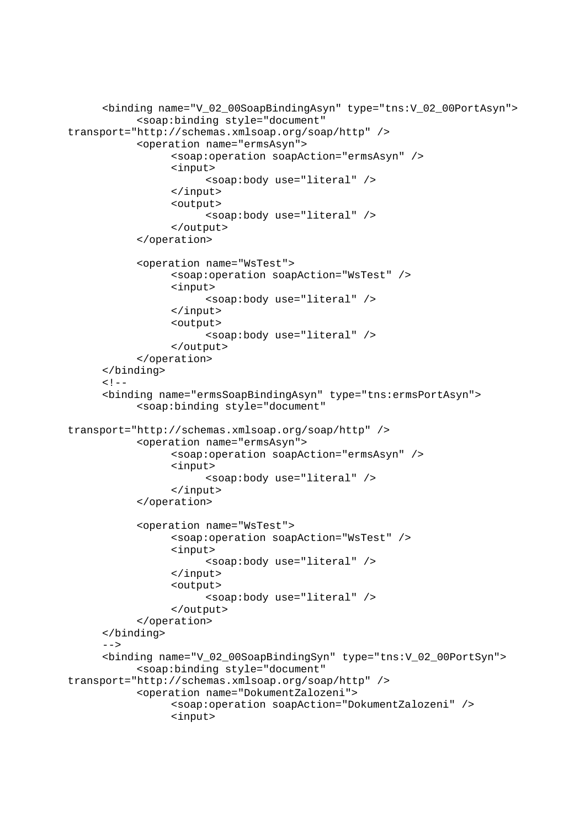```
 <binding name="V_02_00SoapBindingAsyn" type="tns:V_02_00PortAsyn"> 
             <soap:binding style="document" 
transport="http://schemas.xmlsoap.org/soap/http" />
             <operation name="ermsAsyn"> 
                   <soap:operation soapAction="ermsAsyn" /> 
                   <input> 
                         <soap:body use="literal" /> 
                   </input> 
                   <output> 
                         <soap:body use="literal" /> 
                   </output> 
             </operation> 
             <operation name="WsTest"> 
                   <soap:operation soapAction="WsTest" /> 
                   <input> 
                         <soap:body use="literal" /> 
                  </input> 
                   <output> 
                         <soap:body use="literal" /> 
                   </output> 
             </operation> 
      </binding> 
     < ! - - <binding name="ermsSoapBindingAsyn" type="tns:ermsPortAsyn"> 
             <soap:binding style="document" 
transport="http://schemas.xmlsoap.org/soap/http" />
             <operation name="ermsAsyn"> 
                   <soap:operation soapAction="ermsAsyn" /> 
                   <input> 
                         <soap:body use="literal" /> 
                   </input> 
             </operation> 
             <operation name="WsTest"> 
                  <soap:operation soapAction="WsTest" /> 
                   <input> 
                         <soap:body use="literal" /> 
                  </input> 
                   <output> 
                         <soap:body use="literal" /> 
                   </output> 
             </operation> 
      </binding> 
      --& <binding name="V_02_00SoapBindingSyn" type="tns:V_02_00PortSyn"> 
             <soap:binding style="document" 
transport="http://schemas.xmlsoap.org/soap/http" />
            <operation name="DokumentZalozeni"> 
                   <soap:operation soapAction="DokumentZalozeni" />
                   <input>
```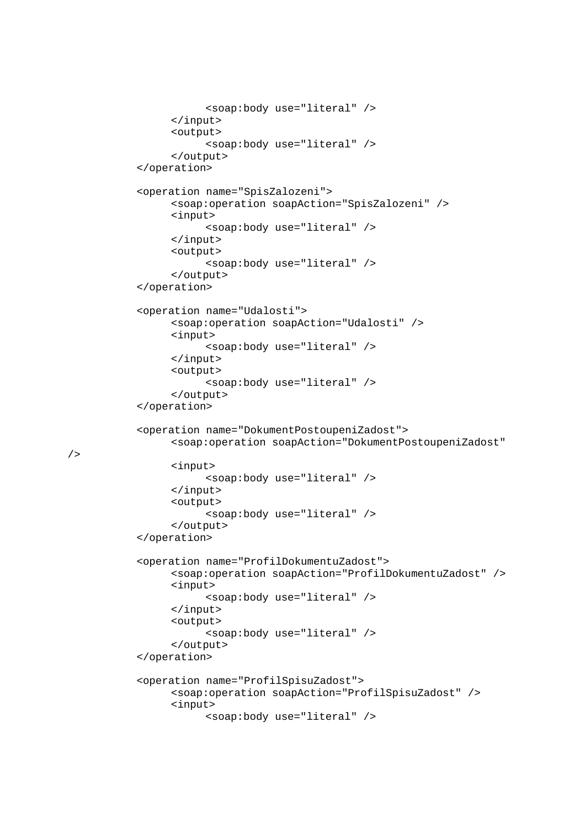```
 <soap:body use="literal" /> 
       </input> 
       <output> 
             <soap:body use="literal" /> 
       </output> 
 </operation> 
 <operation name="SpisZalozeni"> 
       <soap:operation soapAction="SpisZalozeni" /> 
       <input> 
             <soap:body use="literal" /> 
       </input> 
       <output> 
             <soap:body use="literal" /> 
       </output> 
 </operation> 
 <operation name="Udalosti"> 
       <soap:operation soapAction="Udalosti" /> 
       <input> 
             <soap:body use="literal" /> 
       </input> 
       <output> 
             <soap:body use="literal" /> 
       </output> 
 </operation> 
 <operation name="DokumentPostoupeniZadost"> 
       <soap:operation soapAction="DokumentPostoupeniZadost" 
       <input> 
             <soap:body use="literal" /> 
       </input> 
       <output> 
             <soap:body use="literal" /> 
       </output> 
 </operation> 
 <operation name="ProfilDokumentuZadost"> 
       <soap:operation soapAction="ProfilDokumentuZadost" /> 
       <input> 
             <soap:body use="literal" /> 
       </input> 
       <output> 
             <soap:body use="literal" /> 
       </output> 
 </operation> 
 <operation name="ProfilSpisuZadost"> 
       <soap:operation soapAction="ProfilSpisuZadost" /> 
       <input> 
             <soap:body use="literal" />
```

```
/
```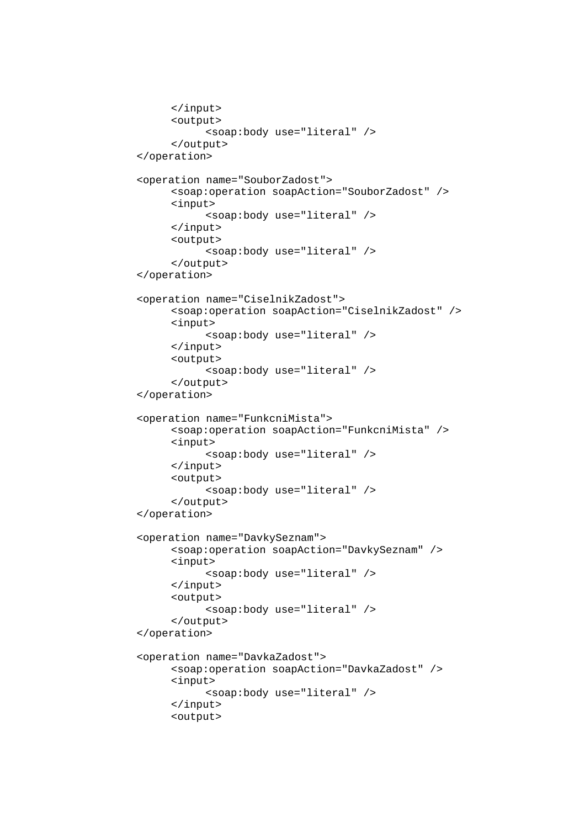```
 </input> 
       <output> 
             <soap:body use="literal" /> 
       </output> 
 </operation> 
 <operation name="SouborZadost"> 
       <soap:operation soapAction="SouborZadost" /> 
       <input> 
             <soap:body use="literal" /> 
       </input> 
       <output> 
             <soap:body use="literal" /> 
       </output> 
 </operation> 
 <operation name="CiselnikZadost"> 
       <soap:operation soapAction="CiselnikZadost" /> 
       <input> 
             <soap:body use="literal" /> 
       </input> 
       <output> 
             <soap:body use="literal" /> 
       </output> 
 </operation> 
 <operation name="FunkcniMista"> 
       <soap:operation soapAction="FunkcniMista" /> 
       <input> 
             <soap:body use="literal" /> 
       </input> 
       <output> 
             <soap:body use="literal" /> 
       </output> 
 </operation> 
 <operation name="DavkySeznam"> 
       <soap:operation soapAction="DavkySeznam" /> 
       <input> 
             <soap:body use="literal" /> 
       </input> 
       <output> 
             <soap:body use="literal" /> 
       </output> 
 </operation> 
 <operation name="DavkaZadost"> 
       <soap:operation soapAction="DavkaZadost" /> 
       <input> 
             <soap:body use="literal" /> 
       </input> 
       <output>
```